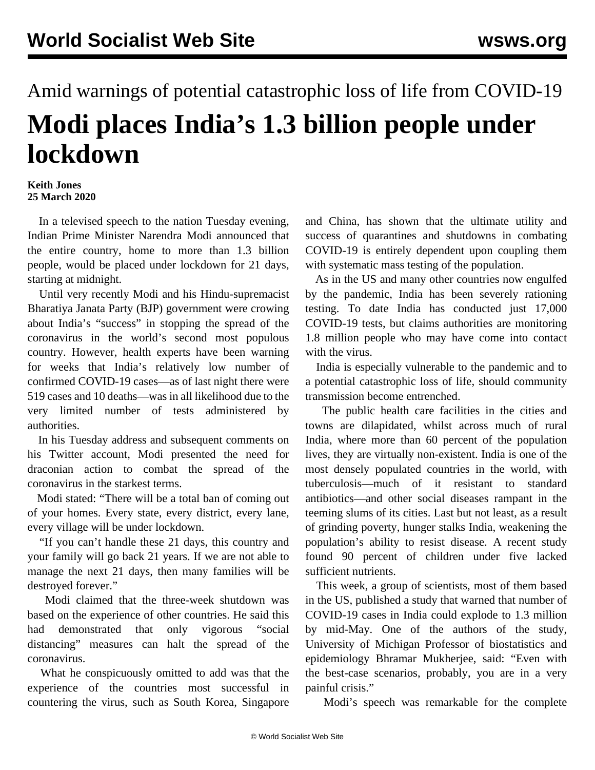## Amid warnings of potential catastrophic loss of life from COVID-19 **Modi places India's 1.3 billion people under lockdown**

## **Keith Jones 25 March 2020**

 In a televised speech to the nation Tuesday evening, Indian Prime Minister Narendra Modi announced that the entire country, home to more than 1.3 billion people, would be placed under lockdown for 21 days, starting at midnight.

 Until very recently Modi and his Hindu-supremacist Bharatiya Janata Party (BJP) government were crowing about India's "success" in stopping the spread of the coronavirus in the world's second most populous country. However, health experts have been warning for weeks that India's relatively low number of confirmed COVID-19 cases—as of last night there were 519 cases and 10 deaths—was in all likelihood due to the very limited number of tests administered by authorities.

 In his Tuesday address and subsequent comments on his Twitter account, Modi presented the need for draconian action to combat the spread of the coronavirus in the starkest terms.

 Modi stated: "There will be a total ban of coming out of your homes. Every state, every district, every lane, every village will be under lockdown.

 "If you can't handle these 21 days, this country and your family will go back 21 years. If we are not able to manage the next 21 days, then many families will be destroyed forever."

 Modi claimed that the three-week shutdown was based on the experience of other countries. He said this had demonstrated that only vigorous "social distancing" measures can halt the spread of the coronavirus.

 What he conspicuously omitted to add was that the experience of the countries most successful in countering the virus, such as South Korea, Singapore

and China, has shown that the ultimate utility and success of quarantines and shutdowns in combating COVID-19 is entirely dependent upon coupling them with systematic mass testing of the population.

 As in the US and many other countries now engulfed by the pandemic, India has been severely rationing testing. To date India has conducted just 17,000 COVID-19 tests, but claims authorities are monitoring 1.8 million people who may have come into contact with the virus.

 India is especially vulnerable to the pandemic and to a potential catastrophic loss of life, should community transmission become entrenched.

 The public health care facilities in the cities and towns are dilapidated, whilst across much of rural India, where more than 60 percent of the population lives, they are virtually non-existent. India is one of the most densely populated countries in the world, with tuberculosis—much of it resistant to standard antibiotics—and other social diseases rampant in the teeming slums of its cities. Last but not least, as a result of grinding poverty, hunger stalks India, weakening the population's ability to resist disease. A recent study found 90 percent of children under five lacked sufficient nutrients.

 This week, a group of scientists, most of them based in the US, published a study that warned that number of COVID-19 cases in India could explode to 1.3 million by mid-May. One of the authors of the study, University of Michigan Professor of biostatistics and epidemiology Bhramar Mukherjee, said: "Even with the best-case scenarios, probably, you are in a very painful crisis."

Modi's speech was remarkable for the complete